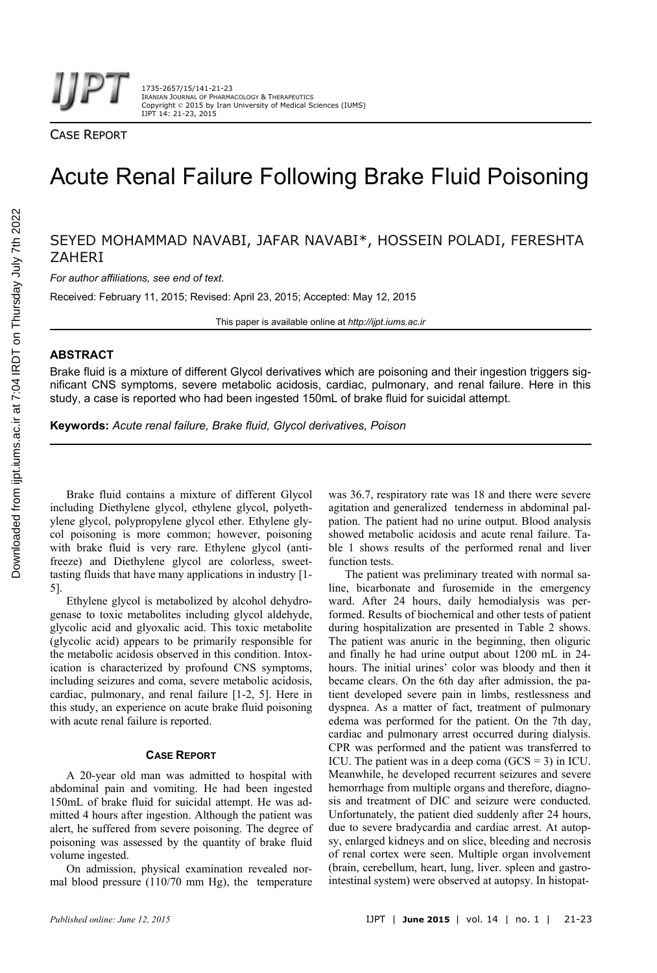CASE REPORT

# Acute Renal Failure Following Brake Fluid Poisoning

SEYED MOHAMMAD NAVABI, JAFAR NAVABI\*, HOSSEIN POLADI, FERESHTA **ZAHERI** 

*For author affiliations, see end of text.* 

Received: February 11, 2015; Revised: April 23, 2015; Accepted: May 12, 2015

This paper is available online at *http://ijpt.iums.ac.ir*

# **ABSTRACT**

Brake fluid is a mixture of different Glycol derivatives which are poisoning and their ingestion triggers significant CNS symptoms, severe metabolic acidosis, cardiac, pulmonary, and renal failure. Here in this study, a case is reported who had been ingested 150mL of brake fluid for suicidal attempt.

**Keywords:** *Acute renal failure, Brake fluid, Glycol derivatives, Poison* 

Brake fluid contains a mixture of different Glycol including Diethylene glycol, ethylene glycol, polyethylene glycol, polypropylene glycol ether. Ethylene glycol poisoning is more common; however, poisoning with brake fluid is very rare. Ethylene glycol (antifreeze) and Diethylene glycol are colorless, sweettasting fluids that have many applications in industry [1- 5].

Ethylene glycol is metabolized by alcohol dehydrogenase to toxic metabolites including glycol aldehyde, glycolic acid and glyoxalic acid. This toxic metabolite (glycolic acid) appears to be primarily responsible for the metabolic acidosis observed in this condition. Intoxication is characterized by profound CNS symptoms, including seizures and coma, severe metabolic acidosis, cardiac, pulmonary, and renal failure [1-2, 5]. Here in this study, an experience on acute brake fluid poisoning with acute renal failure is reported.

# **CASE REPORT**

A 20-year old man was admitted to hospital with abdominal pain and vomiting. He had been ingested 150mL of brake fluid for suicidal attempt. He was admitted 4 hours after ingestion. Although the patient was alert, he suffered from severe poisoning. The degree of poisoning was assessed by the quantity of brake fluid volume ingested.

On admission, physical examination revealed normal blood pressure (110/70 mm Hg), the temperature was 36.7, respiratory rate was 18 and there were severe agitation and generalized tenderness in abdominal palpation. The patient had no urine output. Blood analysis showed metabolic acidosis and acute renal failure. Table 1 shows results of the performed renal and liver function tests.

The patient was preliminary treated with normal saline, bicarbonate and furosemide in the emergency ward. After 24 hours, daily hemodialysis was performed. Results of biochemical and other tests of patient during hospitalization are presented in Table 2 shows. The patient was anuric in the beginning, then oliguric and finally he had urine output about 1200 mL in 24 hours. The initial urines' color was bloody and then it became clears. On the 6th day after admission, the patient developed severe pain in limbs, restlessness and dyspnea. As a matter of fact, treatment of pulmonary edema was performed for the patient. On the 7th day, cardiac and pulmonary arrest occurred during dialysis. CPR was performed and the patient was transferred to ICU. The patient was in a deep coma  $(GCS = 3)$  in ICU. Meanwhile, he developed recurrent seizures and severe hemorrhage from multiple organs and therefore, diagnosis and treatment of DIC and seizure were conducted. Unfortunately, the patient died suddenly after 24 hours, due to severe bradycardia and cardiac arrest. At autopsy, enlarged kidneys and on slice, bleeding and necrosis of renal cortex were seen. Multiple organ involvement (brain, cerebellum, heart, lung, liver. spleen and gastrointestinal system) were observed at autopsy. In histopat-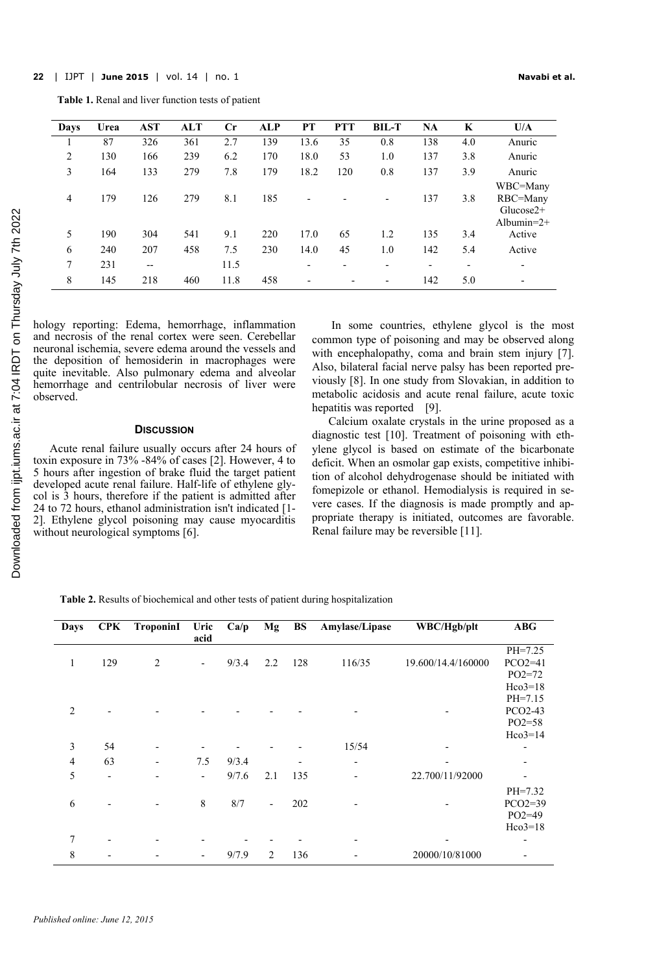**Table 1.** Renal and liver function tests of patient

| Days | Urea | <b>AST</b> | ALT | $_{\rm Cr}$ | ALP | PT                       | <b>PTT</b>               | <b>BIL-T</b> | NA  | K                        | U/A                                                  |
|------|------|------------|-----|-------------|-----|--------------------------|--------------------------|--------------|-----|--------------------------|------------------------------------------------------|
|      | 87   | 326        | 361 | 2.7         | 139 | 13.6                     | 35                       | 0.8          | 138 | 4.0                      | Anuric                                               |
| 2    | 130  | 166        | 239 | 6.2         | 170 | 18.0                     | 53                       | 1.0          | 137 | 3.8                      | Anuric                                               |
| 3    | 164  | 133        | 279 | 7.8         | 179 | 18.2                     | 120                      | 0.8          | 137 | 3.9                      | Anuric                                               |
| 4    | 179  | 126        | 279 | 8.1         | 185 | $\overline{\phantom{0}}$ |                          |              | 137 | 3.8                      | WBC=Many<br>RBC=Many<br>$Glucose2+$<br>Albumin= $2+$ |
| 5    | 190  | 304        | 541 | 9.1         | 220 | 17.0                     | 65                       | 1.2          | 135 | 3.4                      | Active                                               |
| 6    | 240  | 207        | 458 | 7.5         | 230 | 14.0                     | 45                       | 1.0          | 142 | 5.4                      | Active                                               |
| 7    | 231  | $- -$      |     | 11.5        |     | $\overline{\phantom{0}}$ | $\overline{\phantom{0}}$ |              | ٠   | $\overline{\phantom{a}}$ | $\overline{\phantom{0}}$                             |
| 8    | 145  | 218        | 460 | 11.8        | 458 | $\overline{\phantom{a}}$ |                          |              | 142 | 5.0                      | -                                                    |

hology reporting: Edema, hemorrhage, inflammation and necrosis of the renal cortex were seen. Cerebellar neuronal ischemia, severe edema around the vessels and the deposition of hemosiderin in macrophages were quite inevitable. Also pulmonary edema and alveolar hemorrhage and centrilobular necrosis of liver were observed.

# **DISCUSSION**

Acute renal failure usually occurs after 24 hours of toxin exposure in 73% -84% of cases [2]. However, 4 to 5 hours after ingestion of brake fluid the target patient developed acute renal failure. Half-life of ethylene glycol is 3 hours, therefore if the patient is admitted after 24 to 72 hours, ethanol administration isn't indicated [1- 2]. Ethylene glycol poisoning may cause myocarditis without neurological symptoms [6].

 In some countries, ethylene glycol is the most common type of poisoning and may be observed along with encephalopathy, coma and brain stem injury [7]. Also, bilateral facial nerve palsy has been reported previously [8]. In one study from Slovakian, in addition to metabolic acidosis and acute renal failure, acute toxic hepatitis was reported [9].

Calcium oxalate crystals in the urine proposed as a diagnostic test [10]. Treatment of poisoning with ethylene glycol is based on estimate of the bicarbonate deficit. When an osmolar gap exists, competitive inhibition of alcohol dehydrogenase should be initiated with fomepizole or ethanol. Hemodialysis is required in severe cases. If the diagnosis is made promptly and appropriate therapy is initiated, outcomes are favorable. Renal failure may be reversible [11].

**Table 2.** Results of biochemical and other tests of patient during hospitalization

| Days           | <b>CPK</b> | TroponinI      | Uric                     | Ca/p  | Mg  | <b>BS</b> | Amylase/Lipase | WBC/Hgb/plt        |                          |
|----------------|------------|----------------|--------------------------|-------|-----|-----------|----------------|--------------------|--------------------------|
|                |            |                | acid                     |       |     |           |                |                    |                          |
|                |            |                |                          |       |     |           |                |                    | $PH=7.25$                |
| 1              | 129        | $\overline{2}$ | $\overline{\phantom{a}}$ | 9/3.4 | 2.2 | 128       | 116/35         | 19.600/14.4/160000 | $PCO2=41$                |
|                |            |                |                          |       |     |           |                |                    | $PO2 = 72$               |
|                |            |                |                          |       |     |           |                |                    | $Hco3=18$                |
|                |            |                |                          |       |     |           |                |                    | $PH=7.15$                |
| $\overline{2}$ |            |                |                          |       |     |           |                |                    | PCO2-43                  |
|                |            |                |                          |       |     |           |                |                    | $PO2=58$                 |
|                |            |                |                          |       |     |           |                |                    | $Hco3=14$                |
| 3              | 54         |                |                          |       |     |           | 15/54          |                    |                          |
| $\overline{4}$ | 63         | -              | 7.5                      | 9/3.4 |     |           | -              |                    | $\overline{\phantom{0}}$ |
| 5              |            |                | $\overline{\phantom{m}}$ | 9/7.6 | 2.1 | 135       | -              | 22.700/11/92000    | $\overline{\phantom{0}}$ |
|                |            |                |                          |       |     |           |                |                    | $PH=7.32$                |
| 6              |            |                | 8                        | 8/7   | -   | 202       |                |                    | $PCO2=39$                |
|                |            |                |                          |       |     |           |                |                    | $PO2=49$                 |
|                |            |                |                          |       |     |           |                |                    | $Hco3=18$                |
| 7              |            |                |                          |       |     |           |                |                    |                          |
| 8              |            |                |                          | 9/7.9 | 2   | 136       |                | 20000/10/81000     |                          |